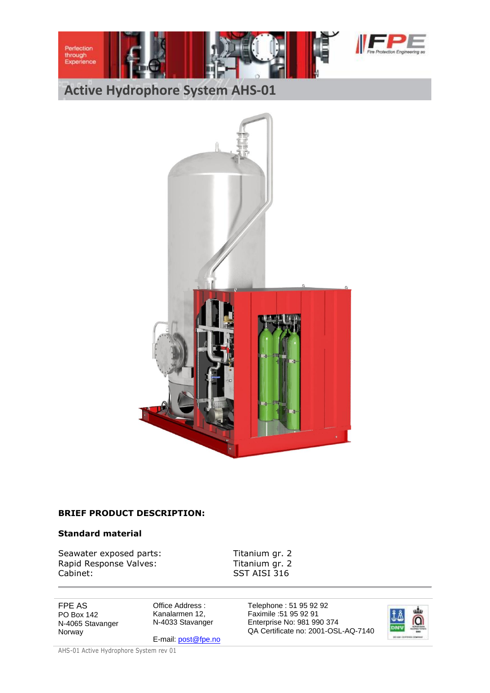





#### **BRIEF PRODUCT DESCRIPTION:**

#### **Standard material**

Seawater exposed parts: Titanium gr. 2<br>Rapid Response Valves: Titanium gr. 2 Rapid Response Valves: Cabinet: SST AISI 316

FPE AS PO Box 142 N-4065 Stavanger Norway

Office Address : Kanalarmen 12, N-4033 Stavanger

E-mail[: post@fpe.no](mailto:post@fpe.no)

Telephone : 51 95 92 92 Faximile :51 95 92 91 Enterprise No: 981 990 374 QA Certificate no: 2001-OSL-AQ-7140

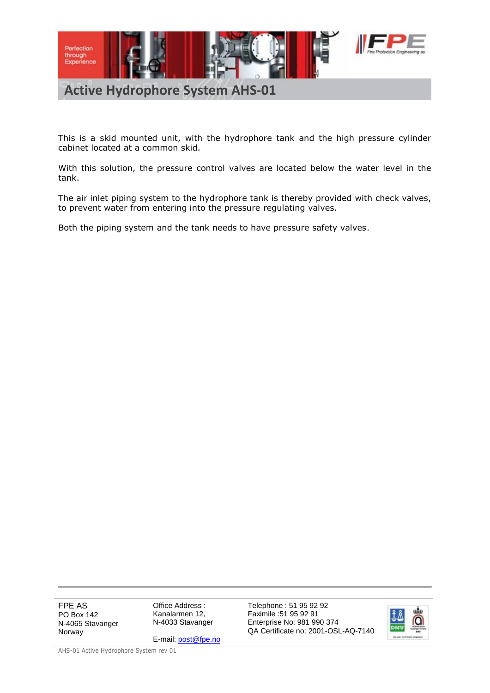

This is a skid mounted unit, with the hydrophore tank and the high pressure cylinder cabinet located at a common skid.

With this solution, the pressure control valves are located below the water level in the tank.

The air inlet piping system to the hydrophore tank is thereby provided with check valves, to prevent water from entering into the pressure regulating valves.

Both the piping system and the tank needs to have pressure safety valves.

FPE AS PO Box 142 N-4065 Stavanger Norway

Office Address : Kanalarmen 12, N-4033 Stavanger

E-mail[: post@fpe.no](mailto:post@fpe.no)

Telephone : 51 95 92 92 Faximile :51 95 92 91 Enterprise No: 981 990 374 QA Certificate no: 2001-OSL-AQ-7140

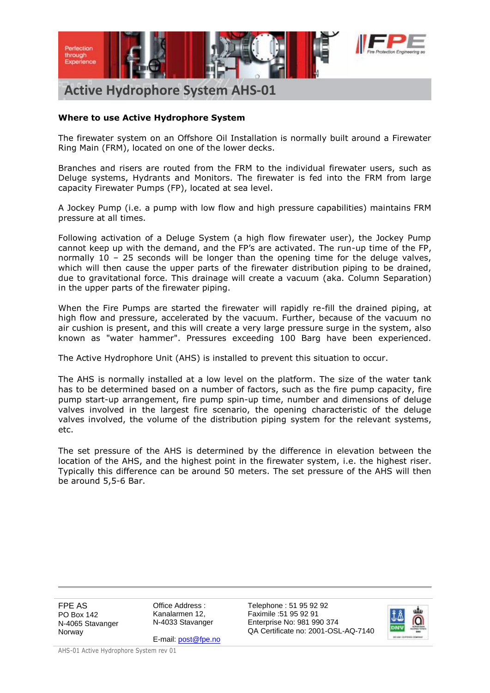

# **Where to use Active Hydrophore System**

The firewater system on an Offshore Oil Installation is normally built around a Firewater Ring Main (FRM), located on one of the lower decks.

Branches and risers are routed from the FRM to the individual firewater users, such as Deluge systems, Hydrants and Monitors. The firewater is fed into the FRM from large capacity Firewater Pumps (FP), located at sea level.

A Jockey Pump (i.e. a pump with low flow and high pressure capabilities) maintains FRM pressure at all times.

Following activation of a Deluge System (a high flow firewater user), the Jockey Pump cannot keep up with the demand, and the FP's are activated. The run-up time of the FP, normally  $10 - 25$  seconds will be longer than the opening time for the deluge valves, which will then cause the upper parts of the firewater distribution piping to be drained, due to gravitational force. This drainage will create a vacuum (aka. Column Separation) in the upper parts of the firewater piping.

When the Fire Pumps are started the firewater will rapidly re-fill the drained piping, at high flow and pressure, accelerated by the vacuum. Further, because of the vacuum no air cushion is present, and this will create a very large pressure surge in the system, also known as "water hammer". Pressures exceeding 100 Barg have been experienced.

The Active Hydrophore Unit (AHS) is installed to prevent this situation to occur.

The AHS is normally installed at a low level on the platform. The size of the water tank has to be determined based on a number of factors, such as the fire pump capacity, fire pump start-up arrangement, fire pump spin-up time, number and dimensions of deluge valves involved in the largest fire scenario, the opening characteristic of the deluge valves involved, the volume of the distribution piping system for the relevant systems, etc.

The set pressure of the AHS is determined by the difference in elevation between the location of the AHS, and the highest point in the firewater system, i.e. the highest riser. Typically this difference can be around 50 meters. The set pressure of the AHS will then be around 5,5-6 Bar.

FPE AS PO Box 142 N-4065 Stavanger Norway

Office Address : Kanalarmen 12, N-4033 Stavanger

Telephone : 51 95 92 92 Faximile :51 95 92 91 Enterprise No: 981 990 374 QA Certificate no: 2001-OSL-AQ-7140



E-mail[: post@fpe.no](mailto:post@fpe.no) AHS-01 Active Hydrophore System rev 01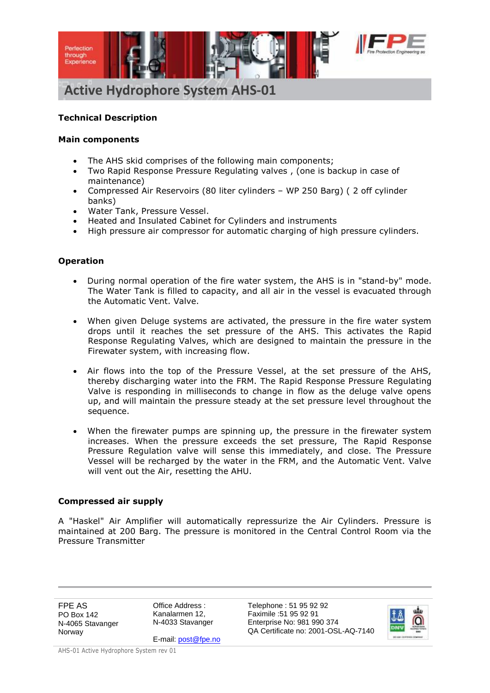

### **Technical Description**

#### **Main components**

- The AHS skid comprises of the following main components;
- Two Rapid Response Pressure Regulating valves , (one is backup in case of maintenance)
- Compressed Air Reservoirs (80 liter cylinders WP 250 Barg) ( 2 off cylinder banks)
- Water Tank, Pressure Vessel.
- Heated and Insulated Cabinet for Cylinders and instruments
- High pressure air compressor for automatic charging of high pressure cylinders.

#### **Operation**

- During normal operation of the fire water system, the AHS is in "stand-by" mode. The Water Tank is filled to capacity, and all air in the vessel is evacuated through the Automatic Vent. Valve.
- When given Deluge systems are activated, the pressure in the fire water system drops until it reaches the set pressure of the AHS. This activates the Rapid Response Regulating Valves, which are designed to maintain the pressure in the Firewater system, with increasing flow.
- Air flows into the top of the Pressure Vessel, at the set pressure of the AHS, thereby discharging water into the FRM. The Rapid Response Pressure Regulating Valve is responding in milliseconds to change in flow as the deluge valve opens up, and will maintain the pressure steady at the set pressure level throughout the sequence.
- When the firewater pumps are spinning up, the pressure in the firewater system increases. When the pressure exceeds the set pressure, The Rapid Response Pressure Regulation valve will sense this immediately, and close. The Pressure Vessel will be recharged by the water in the FRM, and the Automatic Vent. Valve will vent out the Air, resetting the AHU.

#### **Compressed air supply**

A "Haskel" Air Amplifier will automatically repressurize the Air Cylinders. Pressure is maintained at 200 Barg. The pressure is monitored in the Central Control Room via the Pressure Transmitter

FPE AS PO Box 142 N-4065 Stavanger Norway

Office Address : Kanalarmen 12, N-4033 Stavanger

E-mail[: post@fpe.no](mailto:post@fpe.no)

Telephone : 51 95 92 92 Faximile :51 95 92 91 Enterprise No: 981 990 374 QA Certificate no: 2001-OSL-AQ-7140

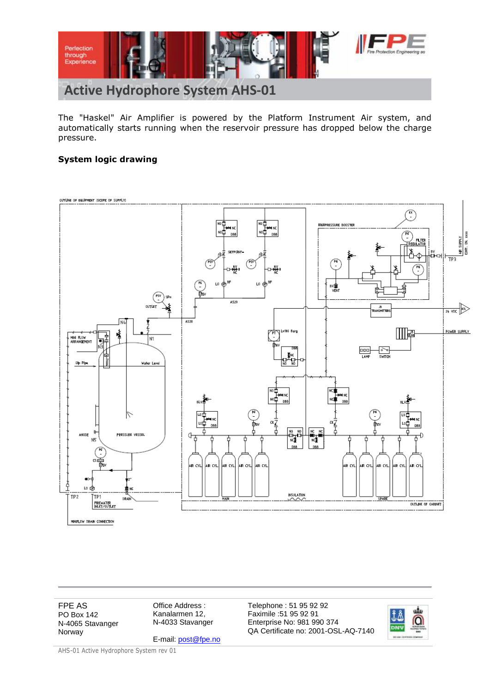

The "Haskel" Air Amplifier is powered by the Platform Instrument Air system, and automatically starts running when the reservoir pressure has dropped below the charge pressure.

# **System logic drawing**



FPE AS PO Box 142 N-4065 Stavanger Norway

Office Address : Kanalarmen 12, N-4033 Stavanger

E-mail[: post@fpe.no](mailto:post@fpe.no)

Telephone : 51 95 92 92 Faximile :51 95 92 91 Enterprise No: 981 990 374 QA Certificate no: 2001-OSL-AQ-7140

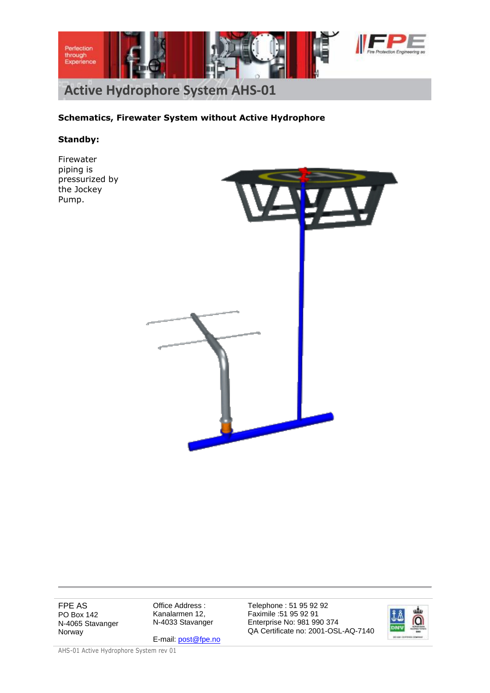

# **Schematics, Firewater System without Active Hydrophore**

#### **Standby:**

Firewater piping is pressurized by the Jockey Pump.



FPE AS PO Box 142 N-4065 Stavanger Norway

Office Address : Kanalarmen 12, N-4033 Stavanger

E-mail[: post@fpe.no](mailto:post@fpe.no)

Telephone : 51 95 92 92 Faximile :51 95 92 91 Enterprise No: 981 990 374 QA Certificate no: 2001-OSL-AQ-7140

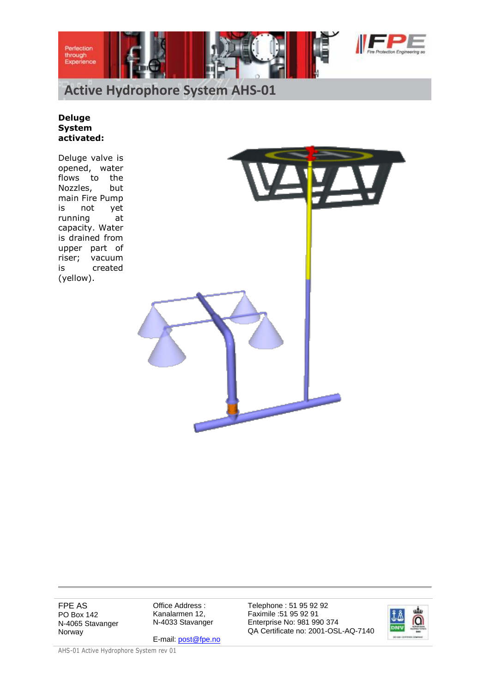



#### **Deluge System activated:**

Deluge valve is opened, water flows to the Nozzles, but main Fire Pump is not yet running at capacity. Water is drained from upper part of riser; vacuum is created (yellow).



FPE AS PO Box 142 N-4065 Stavanger Norway

Office Address : Kanalarmen 12, N-4033 Stavanger

E-mail[: post@fpe.no](mailto:post@fpe.no)

Telephone : 51 95 92 92 Faximile :51 95 92 91 Enterprise No: 981 990 374 QA Certificate no: 2001-OSL-AQ-7140

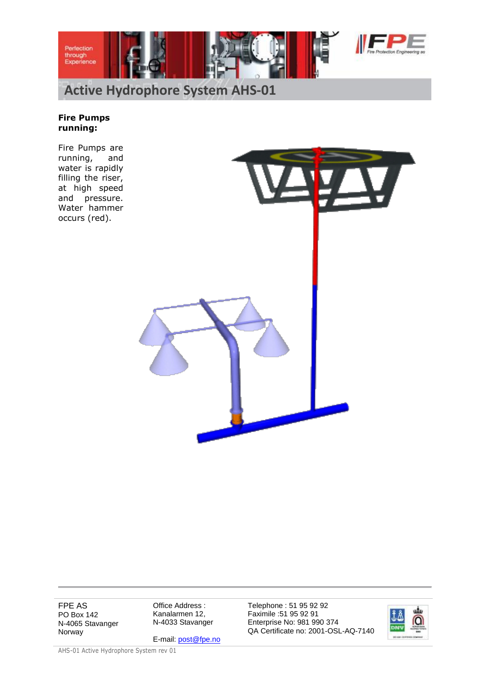



# **Fire Pumps running:**

Fire Pumps are running, and water is rapidly filling the riser, at high speed and pressure. Water hammer occurs (red).



FPE AS PO Box 142 N-4065 Stavanger Norway

Office Address : Kanalarmen 12, N-4033 Stavanger

E-mail[: post@fpe.no](mailto:post@fpe.no)

Telephone : 51 95 92 92 Faximile :51 95 92 91 Enterprise No: 981 990 374 QA Certificate no: 2001-OSL-AQ-7140

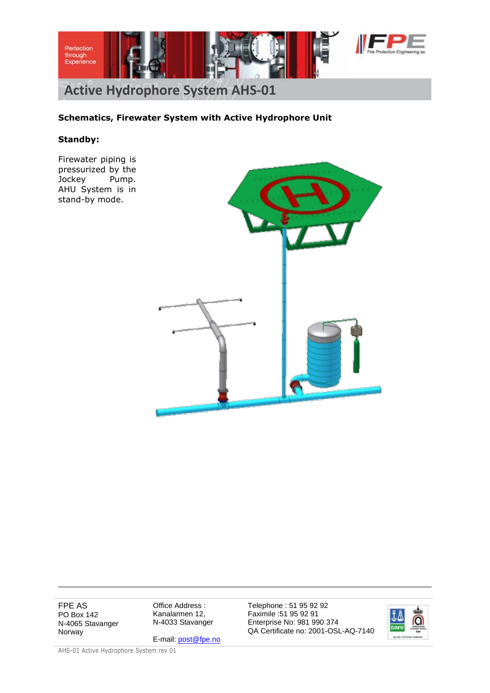

# **Schematics, Firewater System with Active Hydrophore Unit**

#### **Standby:**

Firewater piping is pressurized by the Jockey Pump. AHU System is in stand-by mode.



FPE AS PO Box 142 N-4065 Stavanger Norway

Office Address : Kanalarmen 12, N-4033 Stavanger

E-mail[: post@fpe.no](mailto:post@fpe.no)

Telephone : 51 95 92 92 Faximile :51 95 92 91 Enterprise No: 981 990 374 QA Certificate no: 2001-OSL-AQ-7140

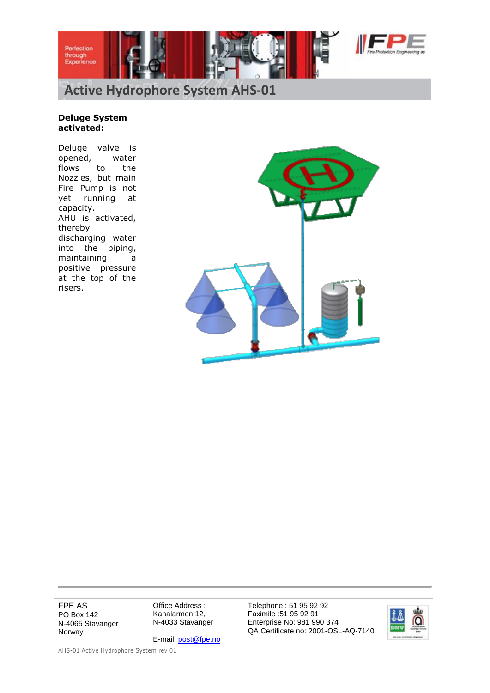



#### **Deluge System activated:**

Deluge valve is opened, water flows to the Nozzles, but main Fire Pump is not yet running at capacity. AHU is activated, thereby discharging water into the piping, maintaining a positive pressure at the top of the risers.



FPE AS PO Box 142 N-4065 Stavanger Norway

Office Address : Kanalarmen 12, N-4033 Stavanger

E-mail[: post@fpe.no](mailto:post@fpe.no)

Telephone : 51 95 92 92 Faximile :51 95 92 91 Enterprise No: 981 990 374 QA Certificate no: 2001-OSL-AQ-7140

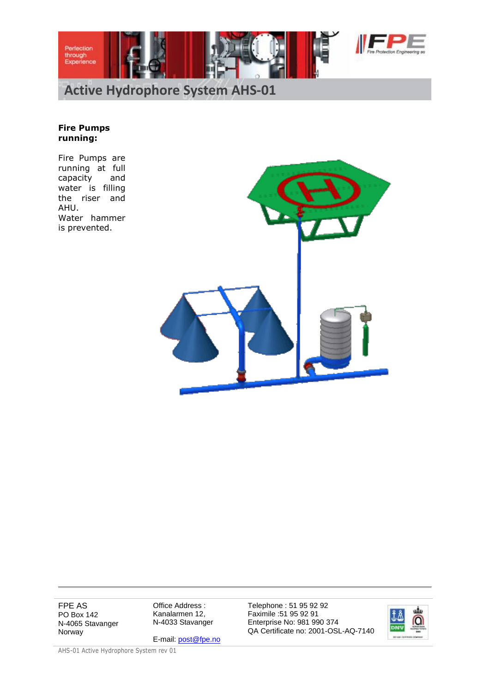



#### **Fire Pumps running:**

Fire Pumps are running at full capacity and water is filling the riser and AHU. Water hammer is prevented.



FPE AS PO Box 142 N-4065 Stavanger Norway

Office Address : Kanalarmen 12, N-4033 Stavanger

E-mail[: post@fpe.no](mailto:post@fpe.no)

Telephone : 51 95 92 92 Faximile :51 95 92 91 Enterprise No: 981 990 374 QA Certificate no: 2001-OSL-AQ-7140